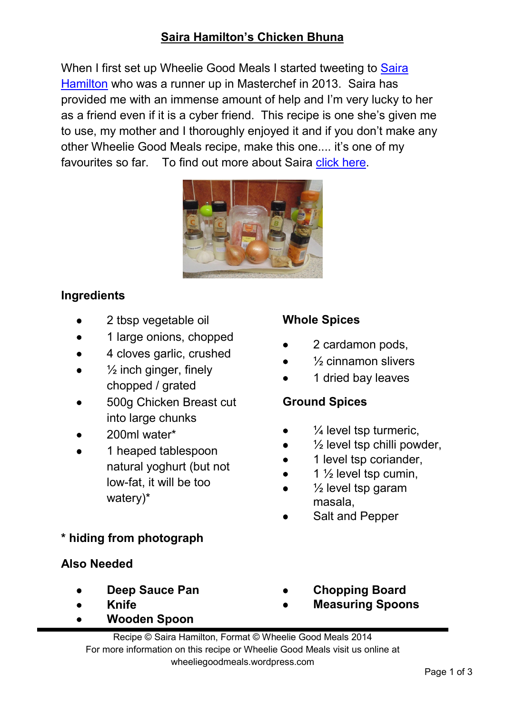# **Saira Hamilton's Chicken Bhuna**

When I first set up Wheelie Good Meals I started tweeting to Saira Hamilton who was a runner up in Masterchef in 2013. Saira has provided me with an immense amount of help and I'm very lucky to her as a friend even if it is a cyber friend. This recipe is one she's given me to use, my mother and I thoroughly enjoyed it and if you don't make any other Wheelie Good Meals recipe, make this one.... it's one of my favourites so far. To find out more about Saira click here.



## **Ingredients**

- 2 tbsp vegetable oil
- 1 large onions, chopped
- 4 cloves garlic, crushed
- $\frac{1}{2}$  inch ginger, finely chopped / grated
- 500g Chicken Breast cut into large chunks
- 200ml water\*
- 1 heaped tablespoon natural yoghurt (but not low-fat, it will be too watery)\*

## **\* hiding from photograph**

#### **Also Needed**

- • **Deep Sauce Pan**
- • **Knife**
- • **Wooden Spoon**

### **Whole Spices**

- 2 cardamon pods,
- $%$  cinnamon slivers
- 1 dried bay leaves

## **Ground Spices**

- $\frac{1}{4}$  level tsp turmeric,
- $\frac{1}{2}$  level tsp chilli powder,
- 1 level tsp coriander,
- 1  $\frac{1}{2}$  level tsp cumin,
- $\frac{1}{2}$  level tsp garam masala,
- Salt and Pepper
- • **Chopping Board**
- • **Measuring Spoons**

Recipe © Saira Hamilton, Format © Wheelie Good Meals 2014 For more information on this recipe or Wheelie Good Meals visit us online at wheeliegoodmeals.wordpress.com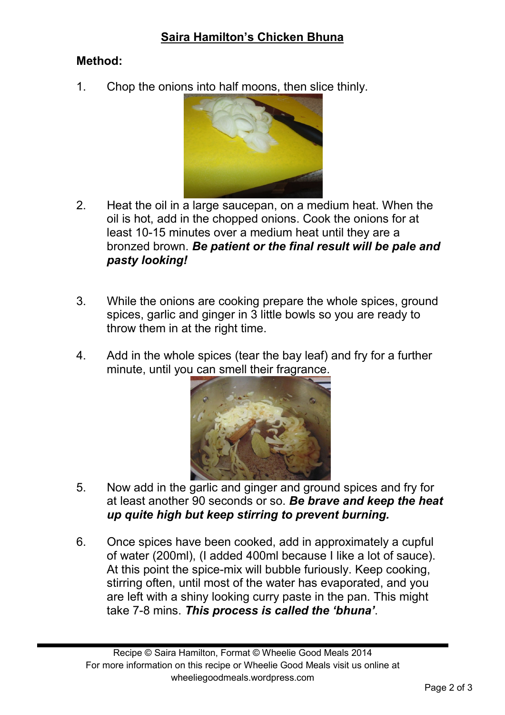## **Saira Hamilton's Chicken Bhuna**

#### **Method:**

1. Chop the onions into half moons, then slice thinly.



- 2. Heat the oil in a large saucepan, on a medium heat. When the oil is hot, add in the chopped onions. Cook the onions for at least 10-15 minutes over a medium heat until they are a bronzed brown. *Be patient or the final result will be pale and pasty looking!*
- 3. While the onions are cooking prepare the whole spices, ground spices, garlic and ginger in 3 little bowls so you are ready to throw them in at the right time.
- 4. Add in the whole spices (tear the bay leaf) and fry for a further minute, until you can smell their fragrance.



- 5. Now add in the garlic and ginger and ground spices and fry for at least another 90 seconds or so. *Be brave and keep the heat up quite high but keep stirring to prevent burning.*
- 6. Once spices have been cooked, add in approximately a cupful of water (200ml), (I added 400ml because I like a lot of sauce). At this point the spice-mix will bubble furiously. Keep cooking, stirring often, until most of the water has evaporated, and you are left with a shiny looking curry paste in the pan. This might take 7-8 mins. *This process is called the 'bhuna'*.